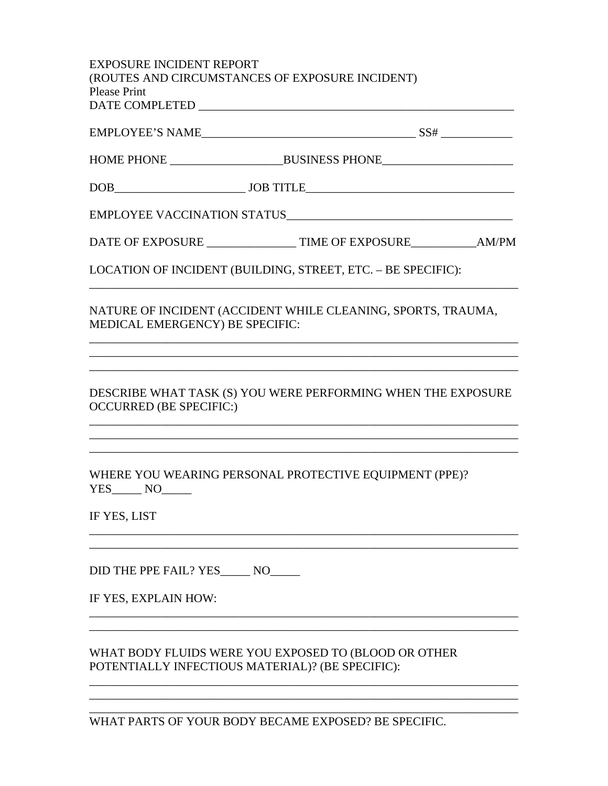| <b>EXPOSURE INCIDENT REPORT</b><br>(ROUTES AND CIRCUMSTANCES OF EXPOSURE INCIDENT)<br><b>Please Print</b> |                                                                          |
|-----------------------------------------------------------------------------------------------------------|--------------------------------------------------------------------------|
|                                                                                                           |                                                                          |
|                                                                                                           |                                                                          |
|                                                                                                           |                                                                          |
|                                                                                                           | EMPLOYEE VACCINATION STATUS                                              |
|                                                                                                           | DATE OF EXPOSURE ____________________ TIME OF EXPOSURE_____________AM/PM |
|                                                                                                           | LOCATION OF INCIDENT (BUILDING, STREET, ETC. - BE SPECIFIC):             |
| MEDICAL EMERGENCY) BE SPECIFIC:                                                                           | NATURE OF INCIDENT (ACCIDENT WHILE CLEANING, SPORTS, TRAUMA,             |
| <b>OCCURRED (BE SPECIFIC:)</b>                                                                            | DESCRIBE WHAT TASK (S) YOU WERE PERFORMING WHEN THE EXPOSURE             |
| YES_______ NO_                                                                                            | WHERE YOU WEARING PERSONAL PROTECTIVE EQUIPMENT (PPE)?                   |
| IF YES, LIST                                                                                              |                                                                          |
| DID THE PPE FAIL? YES______ NO_____<br>IF YES, EXPLAIN HOW:                                               |                                                                          |
| POTENTIALLY INFECTIOUS MATERIAL)? (BE SPECIFIC):                                                          | WHAT BODY FLUIDS WERE YOU EXPOSED TO (BLOOD OR OTHER                     |

WHAT PARTS OF YOUR BODY BECAME EXPOSED? BE SPECIFIC.

\_\_\_\_\_\_\_\_\_\_\_\_\_\_\_\_\_\_\_\_\_\_\_\_\_\_\_\_\_\_\_\_\_\_\_\_\_\_\_\_\_\_\_\_\_\_\_\_\_\_\_\_\_\_\_\_\_\_\_\_\_\_\_\_\_\_\_\_\_\_\_\_ \_\_\_\_\_\_\_\_\_\_\_\_\_\_\_\_\_\_\_\_\_\_\_\_\_\_\_\_\_\_\_\_\_\_\_\_\_\_\_\_\_\_\_\_\_\_\_\_\_\_\_\_\_\_\_\_\_\_\_\_\_\_\_\_\_\_\_\_\_\_\_\_